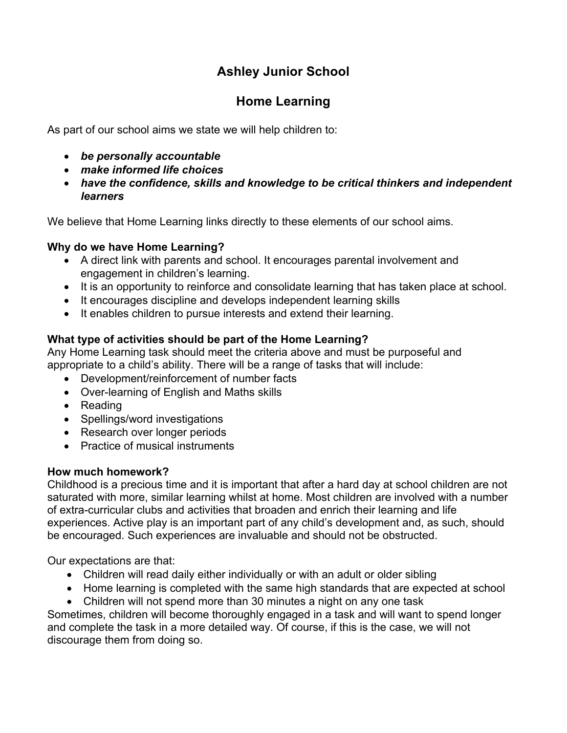# **Ashley Junior School**

## **Home Learning**

As part of our school aims we state we will help children to:

- *be personally accountable*
- *make informed life choices*
- *have the confidence, skills and knowledge to be critical thinkers and independent learners*

We believe that Home Learning links directly to these elements of our school aims.

## **Why do we have Home Learning?**

- A direct link with parents and school. It encourages parental involvement and engagement in children's learning.
- It is an opportunity to reinforce and consolidate learning that has taken place at school.
- It encourages discipline and develops independent learning skills
- It enables children to pursue interests and extend their learning.

## **What type of activities should be part of the Home Learning?**

Any Home Learning task should meet the criteria above and must be purposeful and appropriate to a child's ability. There will be a range of tasks that will include:

- Development/reinforcement of number facts
- Over-learning of English and Maths skills
- Reading
- Spellings/word investigations
- Research over longer periods
- Practice of musical instruments

### **How much homework?**

Childhood is a precious time and it is important that after a hard day at school children are not saturated with more, similar learning whilst at home. Most children are involved with a number of extra-curricular clubs and activities that broaden and enrich their learning and life experiences. Active play is an important part of any child's development and, as such, should be encouraged. Such experiences are invaluable and should not be obstructed.

Our expectations are that:

- Children will read daily either individually or with an adult or older sibling
- Home learning is completed with the same high standards that are expected at school
- Children will not spend more than 30 minutes a night on any one task

Sometimes, children will become thoroughly engaged in a task and will want to spend longer and complete the task in a more detailed way. Of course, if this is the case, we will not discourage them from doing so.